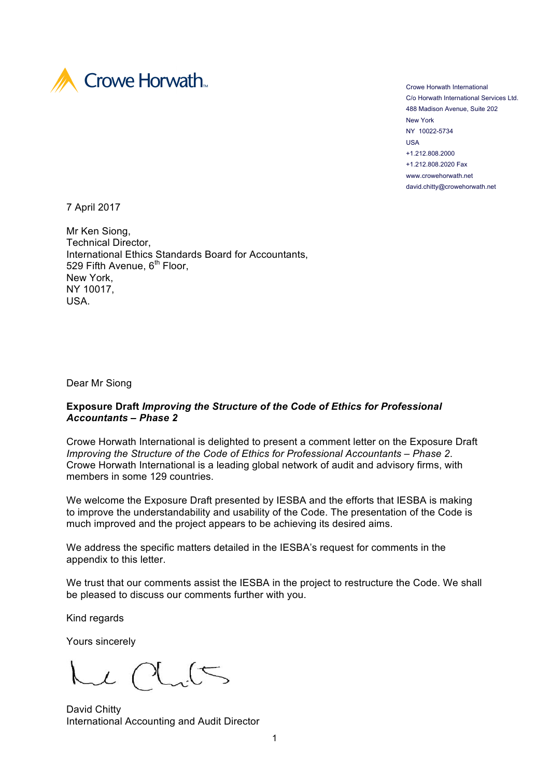

Crowe Horwath International C/o Horwath International Services Ltd. 488 Madison Avenue, Suite 202 New York NY 10022-5734 USA +1.212.808.2000 +1.212.808.2020 Fax www.crowehorwath.net david.chitty@crowehorwath.net

7 April 2017

Mr Ken Siong, Technical Director, International Ethics Standards Board for Accountants, 529 Fifth Avenue, 6<sup>th</sup> Floor, New York, NY 10017, USA.

Dear Mr Siong

## **Exposure Draft** *Improving the Structure of the Code of Ethics for Professional Accountants – Phase 2*

Crowe Horwath International is delighted to present a comment letter on the Exposure Draft *Improving the Structure of the Code of Ethics for Professional Accountants – Phase 2*. Crowe Horwath International is a leading global network of audit and advisory firms, with members in some 129 countries.

We welcome the Exposure Draft presented by IESBA and the efforts that IESBA is making to improve the understandability and usability of the Code. The presentation of the Code is much improved and the project appears to be achieving its desired aims.

We address the specific matters detailed in the IESBA's request for comments in the appendix to this letter.

We trust that our comments assist the IESBA in the project to restructure the Code. We shall be pleased to discuss our comments further with you.

Kind regards

Yours sincerely

 $\sim$ l

David Chitty International Accounting and Audit Director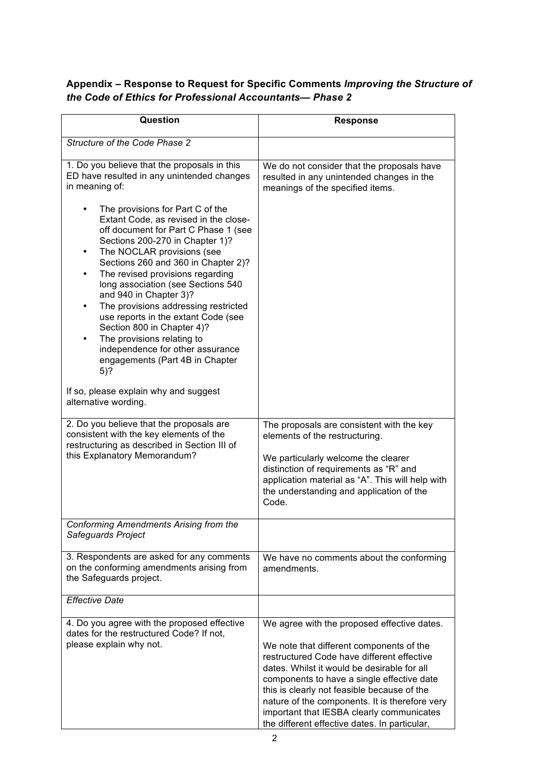## **Appendix – Response to Request for Specific Comments** *Improving the Structure of the Code of Ethics for Professional Accountants— Phase 2*

| Question                                                                                                                                                                                                                                                                                                                                                                                                                                                                                                                                                                                         | <b>Response</b>                                                                                                                                                                                                                                                                                                                                                                                                                   |
|--------------------------------------------------------------------------------------------------------------------------------------------------------------------------------------------------------------------------------------------------------------------------------------------------------------------------------------------------------------------------------------------------------------------------------------------------------------------------------------------------------------------------------------------------------------------------------------------------|-----------------------------------------------------------------------------------------------------------------------------------------------------------------------------------------------------------------------------------------------------------------------------------------------------------------------------------------------------------------------------------------------------------------------------------|
| Structure of the Code Phase 2                                                                                                                                                                                                                                                                                                                                                                                                                                                                                                                                                                    |                                                                                                                                                                                                                                                                                                                                                                                                                                   |
| 1. Do you believe that the proposals in this<br>ED have resulted in any unintended changes<br>in meaning of:                                                                                                                                                                                                                                                                                                                                                                                                                                                                                     | We do not consider that the proposals have<br>resulted in any unintended changes in the<br>meanings of the specified items.                                                                                                                                                                                                                                                                                                       |
| The provisions for Part C of the<br>Extant Code, as revised in the close-<br>off document for Part C Phase 1 (see<br>Sections 200-270 in Chapter 1)?<br>The NOCLAR provisions (see<br>$\bullet$<br>Sections 260 and 360 in Chapter 2)?<br>The revised provisions regarding<br>$\bullet$<br>long association (see Sections 540<br>and 940 in Chapter 3)?<br>The provisions addressing restricted<br>$\bullet$<br>use reports in the extant Code (see<br>Section 800 in Chapter 4)?<br>The provisions relating to<br>independence for other assurance<br>engagements (Part 4B in Chapter<br>$5)$ ? |                                                                                                                                                                                                                                                                                                                                                                                                                                   |
| If so, please explain why and suggest<br>alternative wording.                                                                                                                                                                                                                                                                                                                                                                                                                                                                                                                                    |                                                                                                                                                                                                                                                                                                                                                                                                                                   |
| 2. Do you believe that the proposals are<br>consistent with the key elements of the<br>restructuring as described in Section III of<br>this Explanatory Memorandum?                                                                                                                                                                                                                                                                                                                                                                                                                              | The proposals are consistent with the key<br>elements of the restructuring.<br>We particularly welcome the clearer<br>distinction of requirements as "R" and<br>application material as "A". This will help with<br>the understanding and application of the<br>Code.                                                                                                                                                             |
| Conforming Amendments Arising from the<br>Safeguards Project                                                                                                                                                                                                                                                                                                                                                                                                                                                                                                                                     |                                                                                                                                                                                                                                                                                                                                                                                                                                   |
| 3. Respondents are asked for any comments<br>on the conforming amendments arising from<br>the Safeguards project.                                                                                                                                                                                                                                                                                                                                                                                                                                                                                | We have no comments about the conforming<br>amendments.                                                                                                                                                                                                                                                                                                                                                                           |
| <b>Effective Date</b>                                                                                                                                                                                                                                                                                                                                                                                                                                                                                                                                                                            |                                                                                                                                                                                                                                                                                                                                                                                                                                   |
| 4. Do you agree with the proposed effective<br>dates for the restructured Code? If not,<br>please explain why not.                                                                                                                                                                                                                                                                                                                                                                                                                                                                               | We agree with the proposed effective dates.<br>We note that different components of the<br>restructured Code have different effective<br>dates. Whilst it would be desirable for all<br>components to have a single effective date<br>this is clearly not feasible because of the<br>nature of the components. It is therefore very<br>important that IESBA clearly communicates<br>the different effective dates. In particular, |